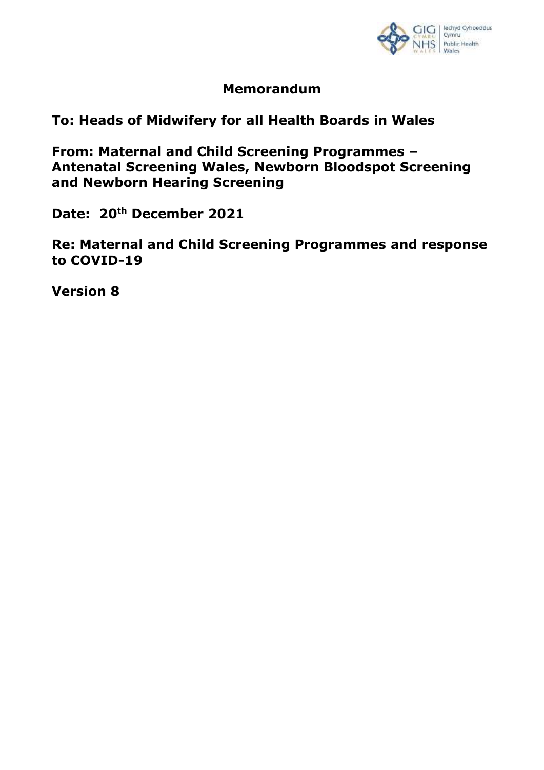

# **Memorandum**

**To: Heads of Midwifery for all Health Boards in Wales**

**From: Maternal and Child Screening Programmes – Antenatal Screening Wales, Newborn Bloodspot Screening and Newborn Hearing Screening** 

**Date: 20th December 2021**

**Re: Maternal and Child Screening Programmes and response to COVID-19**

**Version 8**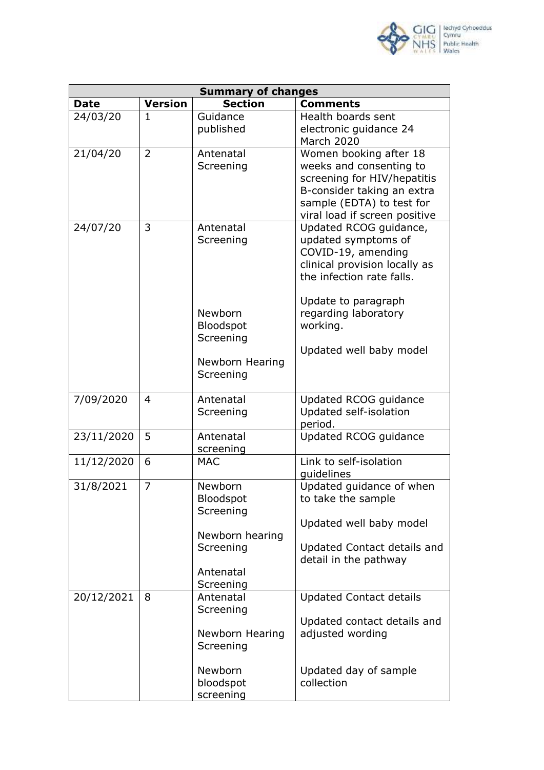

| <b>Summary of changes</b> |                |                                   |                                                                                                                                                                              |  |
|---------------------------|----------------|-----------------------------------|------------------------------------------------------------------------------------------------------------------------------------------------------------------------------|--|
| <b>Date</b>               | <b>Version</b> | <b>Section</b>                    | <b>Comments</b>                                                                                                                                                              |  |
| 24/03/20                  | $\mathbf{1}$   | Guidance<br>published             | Health boards sent<br>electronic guidance 24<br>March 2020                                                                                                                   |  |
| 21/04/20                  | $\overline{2}$ | Antenatal<br>Screening            | Women booking after 18<br>weeks and consenting to<br>screening for HIV/hepatitis<br>B-consider taking an extra<br>sample (EDTA) to test for<br>viral load if screen positive |  |
| 24/07/20                  | 3              | Antenatal<br>Screening            | Updated RCOG guidance,<br>updated symptoms of<br>COVID-19, amending<br>clinical provision locally as<br>the infection rate falls.                                            |  |
|                           |                | Newborn<br>Bloodspot<br>Screening | Update to paragraph<br>regarding laboratory<br>working.<br>Updated well baby model                                                                                           |  |
|                           |                | Newborn Hearing<br>Screening      |                                                                                                                                                                              |  |
| 7/09/2020                 | 4              | Antenatal<br>Screening            | Updated RCOG guidance<br>Updated self-isolation<br>period.                                                                                                                   |  |
| 23/11/2020                | 5              | Antenatal<br>screening            | Updated RCOG guidance                                                                                                                                                        |  |
| 11/12/2020                | 6              | <b>MAC</b>                        | Link to self-isolation<br>quidelines                                                                                                                                         |  |
| 31/8/2021                 | 7              | Newborn<br>Bloodspot<br>Screening | Updated guidance of when<br>to take the sample<br>Updated well baby model                                                                                                    |  |
|                           |                | Newborn hearing<br>Screening      | Updated Contact details and<br>detail in the pathway                                                                                                                         |  |
|                           |                | Antenatal<br>Screening            |                                                                                                                                                                              |  |
| 20/12/2021                | 8              | Antenatal<br>Screening            | <b>Updated Contact details</b>                                                                                                                                               |  |
|                           |                | Newborn Hearing<br>Screening      | Updated contact details and<br>adjusted wording                                                                                                                              |  |
|                           |                | Newborn<br>bloodspot<br>screening | Updated day of sample<br>collection                                                                                                                                          |  |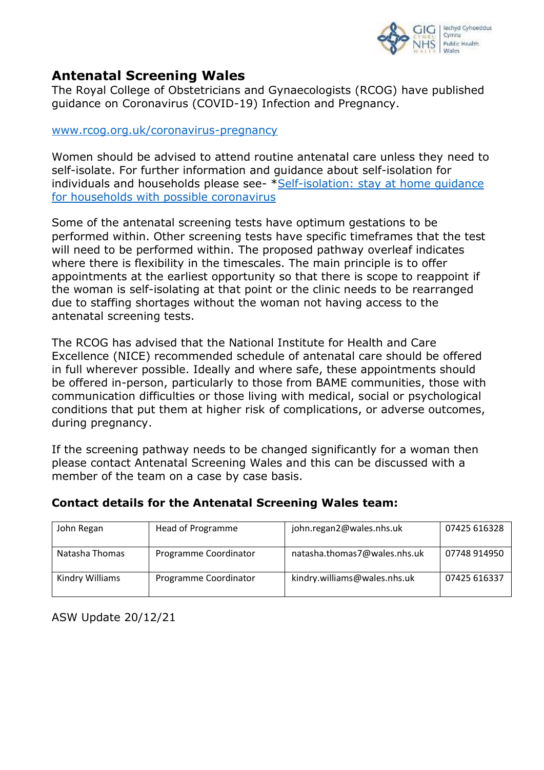

# **Antenatal Screening Wales**

The Royal College of Obstetricians and Gynaecologists (RCOG) have published guidance on Coronavirus (COVID-19) Infection and Pregnancy.

[www.rcog.org.uk/coronavirus-pregnancy](http://www.rcog.org.uk/coronavirus-pregnancy)

Women should be advised to attend routine antenatal care unless they need to self-isolate. For further information and guidance about self-isolation for individuals and households please see- [\\*Self-isolation: stay at](https://gov.wales/self-isolation-stay-home-guidance-households-possible-coronavirus#section-38154) home quidance [for households with possible coronavirus](https://gov.wales/self-isolation-stay-home-guidance-households-possible-coronavirus#section-38154)

Some of the antenatal screening tests have optimum gestations to be performed within. Other screening tests have specific timeframes that the test will need to be performed within. The proposed pathway overleaf indicates where there is flexibility in the timescales. The main principle is to offer appointments at the earliest opportunity so that there is scope to reappoint if the woman is self-isolating at that point or the clinic needs to be rearranged due to staffing shortages without the woman not having access to the antenatal screening tests.

The RCOG has advised that the National Institute for Health and Care Excellence (NICE) recommended schedule of antenatal care should be offered in full wherever possible. Ideally and where safe, these appointments should be offered in-person, particularly to those from BAME communities, those with communication difficulties or those living with medical, social or psychological conditions that put them at higher risk of complications, or adverse outcomes, during pregnancy.

If the screening pathway needs to be changed significantly for a woman then please contact Antenatal Screening Wales and this can be discussed with a member of the team on a case by case basis.

| John Regan      | Head of Programme     | john.regan2@wales.nhs.uk     | 07425 616328 |
|-----------------|-----------------------|------------------------------|--------------|
| Natasha Thomas  | Programme Coordinator | natasha.thomas7@wales.nhs.uk | 07748 914950 |
| Kindry Williams | Programme Coordinator | kindry.williams@wales.nhs.uk | 07425 616337 |

#### **Contact details for the Antenatal Screening Wales team:**

ASW Update 20/12/21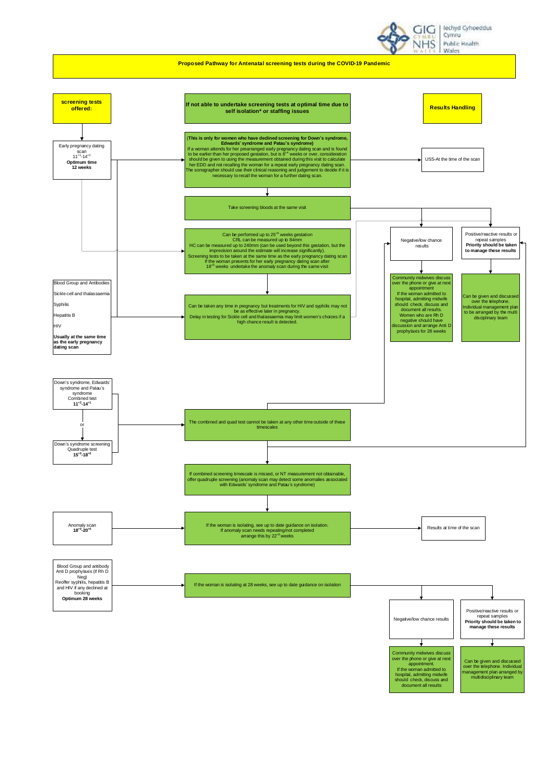



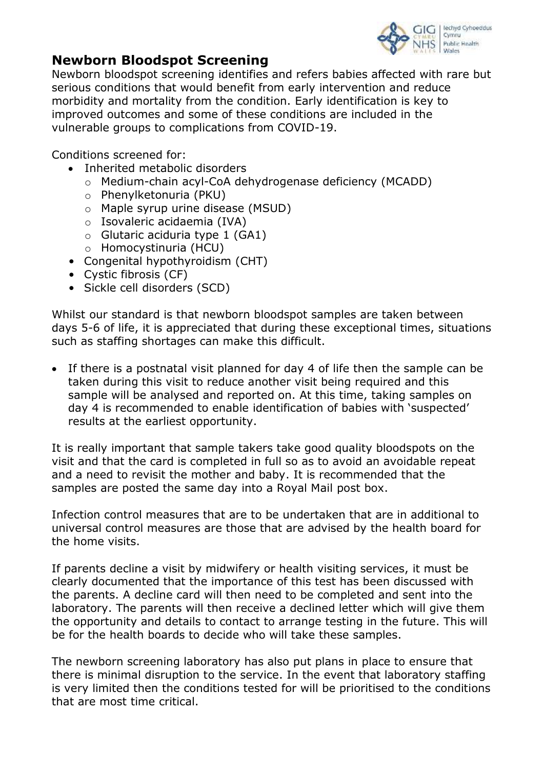

# **Newborn Bloodspot Screening**

Newborn bloodspot screening identifies and refers babies affected with rare but serious conditions that would benefit from early intervention and reduce morbidity and mortality from the condition. Early identification is key to improved outcomes and some of these conditions are included in the vulnerable groups to complications from COVID-19.

Conditions screened for:

- Inherited metabolic disorders
	- o Medium-chain acyl-CoA dehydrogenase deficiency (MCADD)
	- o Phenylketonuria (PKU)
	- o Maple syrup urine disease (MSUD)
	- o Isovaleric acidaemia (IVA)
	- $\circ$  Glutaric aciduria type 1 (GA1)
	- o Homocystinuria (HCU)
- Congenital hypothyroidism (CHT)
- Cystic fibrosis (CF)
- Sickle cell disorders (SCD)

Whilst our standard is that newborn bloodspot samples are taken between days 5-6 of life, it is appreciated that during these exceptional times, situations such as staffing shortages can make this difficult.

 If there is a postnatal visit planned for day 4 of life then the sample can be taken during this visit to reduce another visit being required and this sample will be analysed and reported on. At this time, taking samples on day 4 is recommended to enable identification of babies with 'suspected' results at the earliest opportunity.

It is really important that sample takers take good quality bloodspots on the visit and that the card is completed in full so as to avoid an avoidable repeat and a need to revisit the mother and baby. It is recommended that the samples are posted the same day into a Royal Mail post box.

Infection control measures that are to be undertaken that are in additional to universal control measures are those that are advised by the health board for the home visits.

If parents decline a visit by midwifery or health visiting services, it must be clearly documented that the importance of this test has been discussed with the parents. A decline card will then need to be completed and sent into the laboratory. The parents will then receive a declined letter which will give them the opportunity and details to contact to arrange testing in the future. This will be for the health boards to decide who will take these samples.

The newborn screening laboratory has also put plans in place to ensure that there is minimal disruption to the service. In the event that laboratory staffing is very limited then the conditions tested for will be prioritised to the conditions that are most time critical.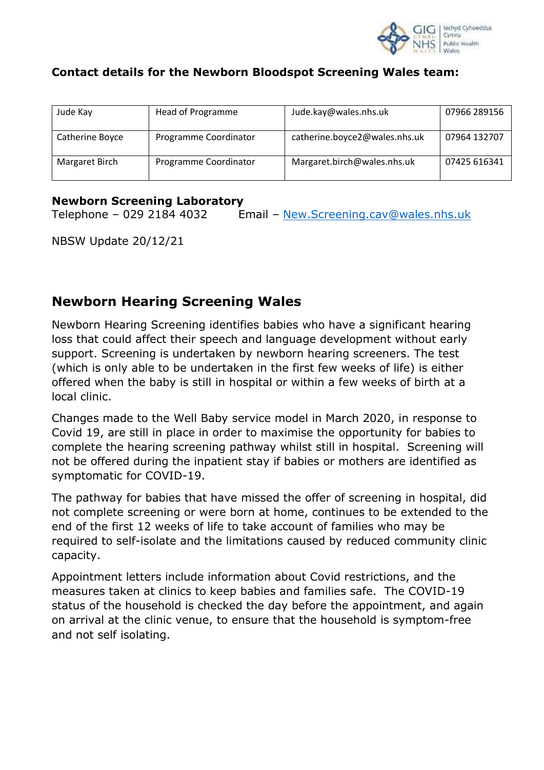

### **Contact details for the Newborn Bloodspot Screening Wales team:**

| Jude Kay        | Head of Programme     | Jude.kay@wales.nhs.uk         | 07966 289156 |
|-----------------|-----------------------|-------------------------------|--------------|
| Catherine Boyce | Programme Coordinator | catherine.boyce2@wales.nhs.uk | 07964 132707 |
| Margaret Birch  | Programme Coordinator | Margaret.birch@wales.nhs.uk   | 07425 616341 |

#### **Newborn Screening Laboratory**

Telephone – 029 2184 4032 Email – [New.Screening.cav@wales.nhs.uk](mailto:New.Screening.cav@wales.nhs.uk)

NBSW Update 20/12/21

# **Newborn Hearing Screening Wales**

Newborn Hearing Screening identifies babies who have a significant hearing loss that could affect their speech and language development without early support. Screening is undertaken by newborn hearing screeners. The test (which is only able to be undertaken in the first few weeks of life) is either offered when the baby is still in hospital or within a few weeks of birth at a local clinic.

Changes made to the Well Baby service model in March 2020, in response to Covid 19, are still in place in order to maximise the opportunity for babies to complete the hearing screening pathway whilst still in hospital. Screening will not be offered during the inpatient stay if babies or mothers are identified as symptomatic for COVID-19.

The pathway for babies that have missed the offer of screening in hospital, did not complete screening or were born at home, continues to be extended to the end of the first 12 weeks of life to take account of families who may be required to self-isolate and the limitations caused by reduced community clinic capacity.

Appointment letters include information about Covid restrictions, and the measures taken at clinics to keep babies and families safe. The COVID-19 status of the household is checked the day before the appointment, and again on arrival at the clinic venue, to ensure that the household is symptom-free and not self isolating.